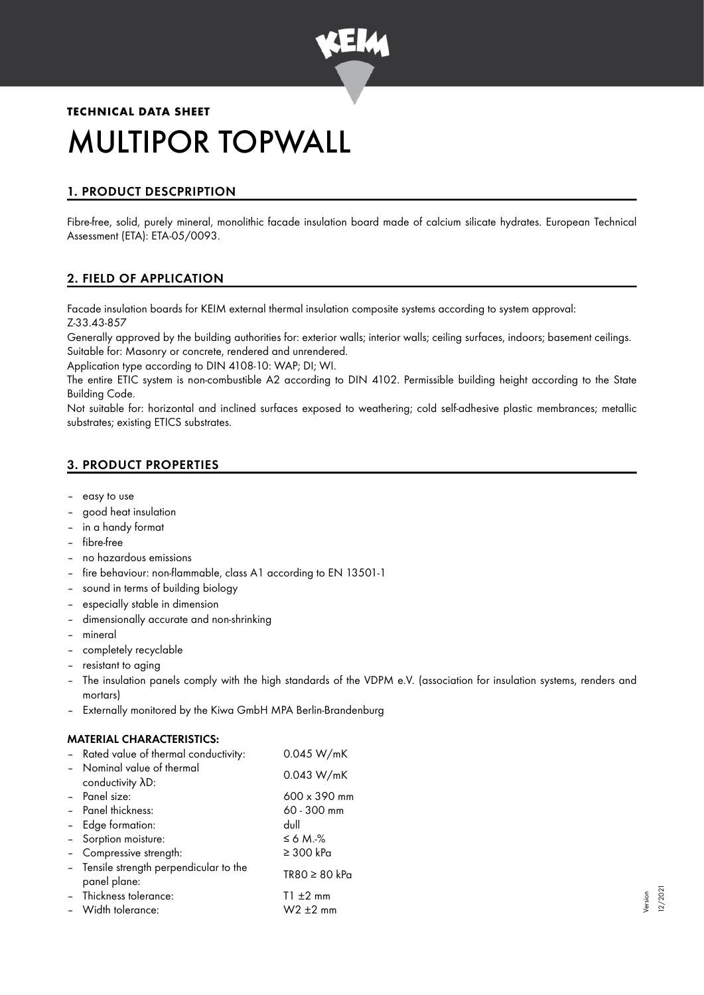

# **TECHNICAL DATA SHEET** MULTIPOR TOPWALL

# 1. PRODUCT DESCPRIPTION

Fibre-free, solid, purely mineral, monolithic facade insulation board made of calcium silicate hydrates. European Technical Assessment (ETA): ETA-05/0093.

# 2. FIELD OF APPLICATION

Facade insulation boards for KEIM external thermal insulation composite systems according to system approval: Z-33.43-857

Generally approved by the building authorities for: exterior walls; interior walls; ceiling surfaces, indoors; basement ceilings. Suitable for: Masonry or concrete, rendered and unrendered.

Application type according to DIN 4108-10: WAP; DI; WI.

The entire ETIC system is non-combustible A2 according to DIN 4102. Permissible building height according to the State Building Code.

Not suitable for: horizontal and inclined surfaces exposed to weathering; cold self-adhesive plastic membrances; metallic substrates; existing ETICS substrates.

# 3. PRODUCT PROPERTIES

- easy to use
- good heat insulation
- in a handy format
- fibre-free
- no hazardous emissions
- fire behaviour: non-flammable, class A1 according to EN 13501-1
- sound in terms of building biology
- especially stable in dimension
- dimensionally accurate and non-shrinking
- mineral
- completely recyclable
- resistant to aging
- The insulation panels comply with the high standards of the VDPM e.V. (association for insulation systems, renders and mortars)
- Externally monitored by the Kiwa GmbH MPA Berlin-Brandenburg

## MATERIAL CHARACTERISTICS:

| - Rated value of thermal conductivity:                  | 0.045 W/mK                |
|---------------------------------------------------------|---------------------------|
| - Nominal value of thermal<br>conductivity AD:          | 0.043 W/mK                |
| - Panel size:                                           | 600 x 390 mm              |
| - Panel thickness:                                      | 60 - 300 mm               |
| Edge formation:                                         | dull                      |
| - Sorption moisture:                                    | $\leq 6$ M. $\frac{9}{6}$ |
| - Compressive strength:                                 | $\geq$ 300 kPa            |
| - Tensile strength perpendicular to the<br>panel plane: | $TR80 \geq 80$ kPa        |
| - Thickness tolerance:                                  | $T1 \pm 2$ mm             |
| - Width tolerance:                                      | $W2 \pm 2$ mm             |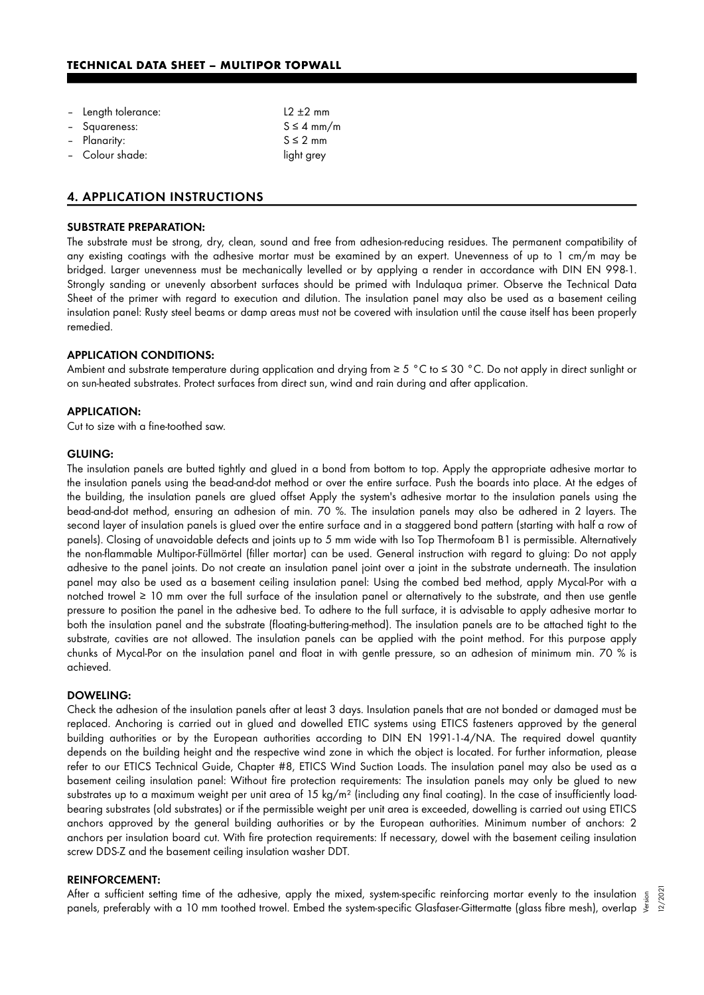#### **TECHNICAL DATA SHEET – MULTIPOR TOPWALL**

| - Length tolerance: | $12 + 2$ mm     |
|---------------------|-----------------|
| - Squareness:       | $S \leq 4$ mm/m |
| - Planarity:        | $S \leq 2$ mm   |
| - Colour shade:     | light grey      |
|                     |                 |

#### 4. APPLICATION INSTRUCTIONS

## SUBSTRATE PREPARATION:

The substrate must be strong, dry, clean, sound and free from adhesion-reducing residues. The permanent compatibility of any existing coatings with the adhesive mortar must be examined by an expert. Unevenness of up to 1 cm/m may be bridged. Larger unevenness must be mechanically levelled or by applying a render in accordance with DIN EN 998-1. Strongly sanding or unevenly absorbent surfaces should be primed with Indulaqua primer. Observe the Technical Data Sheet of the primer with regard to execution and dilution. The insulation panel may also be used as a basement ceiling insulation panel: Rusty steel beams or damp areas must not be covered with insulation until the cause itself has been properly remedied.

#### APPLICATION CONDITIONS:

Ambient and substrate temperature during application and drying from ≥ 5 °C to ≤ 30 °C. Do not apply in direct sunlight or on sun-heated substrates. Protect surfaces from direct sun, wind and rain during and after application.

#### APPLICATION:

Cut to size with a fine-toothed saw.

#### GLUING:

The insulation panels are butted tightly and glued in a bond from bottom to top. Apply the appropriate adhesive mortar to the insulation panels using the bead-and-dot method or over the entire surface. Push the boards into place. At the edges of the building, the insulation panels are glued offset Apply the system's adhesive mortar to the insulation panels using the bead-and-dot method, ensuring an adhesion of min. 70 %. The insulation panels may also be adhered in 2 layers. The second layer of insulation panels is glued over the entire surface and in a staggered bond pattern (starting with half a row of panels). Closing of unavoidable defects and joints up to 5 mm wide with Iso Top Thermofoam B1 is permissible. Alternatively the non-flammable Multipor-Füllmörtel (filler mortar) can be used. General instruction with regard to gluing: Do not apply adhesive to the panel joints. Do not create an insulation panel joint over a joint in the substrate underneath. The insulation panel may also be used as a basement ceiling insulation panel: Using the combed bed method, apply Mycal-Por with a notched trowel ≥ 10 mm over the full surface of the insulation panel or alternatively to the substrate, and then use gentle pressure to position the panel in the adhesive bed. To adhere to the full surface, it is advisable to apply adhesive mortar to both the insulation panel and the substrate (floating-buttering-method). The insulation panels are to be attached tight to the substrate, cavities are not allowed. The insulation panels can be applied with the point method. For this purpose apply chunks of Mycal-Por on the insulation panel and float in with gentle pressure, so an adhesion of minimum min. 70 % is achieved.

#### DOWELING:

Check the adhesion of the insulation panels after at least 3 days. Insulation panels that are not bonded or damaged must be replaced. Anchoring is carried out in glued and dowelled ETIC systems using ETICS fasteners approved by the general building authorities or by the European authorities according to DIN EN 1991-1-4/NA. The required dowel quantity depends on the building height and the respective wind zone in which the object is located. For further information, please refer to our ETICS Technical Guide, Chapter #8, ETICS Wind Suction Loads. The insulation panel may also be used as a basement ceiling insulation panel: Without fire protection requirements: The insulation panels may only be glued to new substrates up to a maximum weight per unit area of 15 kg/m<sup>2</sup> (including any final coating). In the case of insufficiently loadbearing substrates (old substrates) or if the permissible weight per unit area is exceeded, dowelling is carried out using ETICS anchors approved by the general building authorities or by the European authorities. Minimum number of anchors: 2 anchors per insulation board cut. With fire protection requirements: If necessary, dowel with the basement ceiling insulation screw DDS-Z and the basement ceiling insulation washer DDT.

#### REINFORCEMENT:

After a sufficient setting time of the adhesive, apply the mixed, system-specific reinforcing mortar evenly to the insulation 5 After a sufficient setting time of the adhesive, apply the mixed, system-specific reinforcing mortar evenly to the insulation  $\frac{5}{5}$ <br>"Lannels, preferably with a 10 mm toothed trowel. Embed the system-specific Glasfaser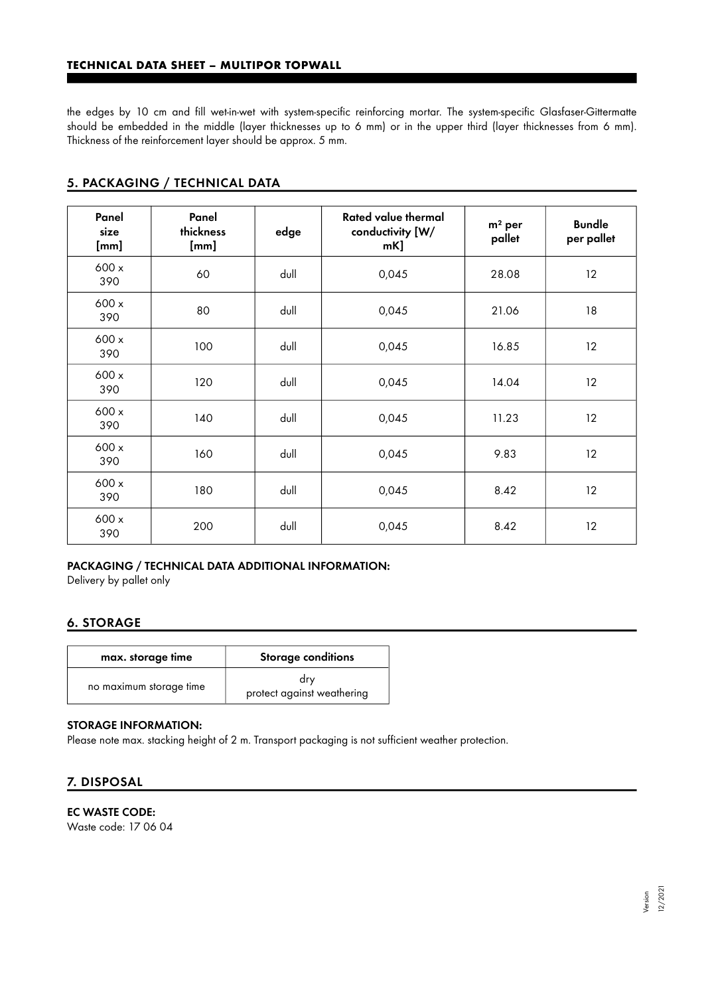the edges by 10 cm and fill wet-in-wet with system-specific reinforcing mortar. The system-specific Glasfaser-Gittermatte should be embedded in the middle (layer thicknesses up to 6 mm) or in the upper third (layer thicknesses from 6 mm). Thickness of the reinforcement layer should be approx. 5 mm.

| Panel<br>size<br>[mm] | Panel<br>thickness<br>[mm] | edge | Rated value thermal<br>conductivity [W/<br>$mK$ ] | $m2$ per<br>pallet | <b>Bundle</b><br>per pallet |
|-----------------------|----------------------------|------|---------------------------------------------------|--------------------|-----------------------------|
| 600 x<br>390          | 60                         | dull | 0,045                                             | 28.08              | 12                          |
| 600 x<br>390          | 80                         | dull | 0,045                                             | 21.06              | 18                          |
| 600x<br>390           | 100                        | dull | 0,045                                             | 16.85              | 12                          |
| 600 x<br>390          | 120                        | dull | 0,045                                             | 14.04              | 12                          |
| 600 x<br>390          | 140                        | dull | 0,045                                             | 11.23              | 12                          |
| 600 x<br>390          | 160                        | dull | 0,045                                             | 9.83               | 12                          |
| 600x<br>390           | 180                        | dull | 0,045                                             | 8.42               | 12                          |
| 600 x<br>390          | 200                        | dull | 0,045                                             | 8.42               | 12                          |

# 5. PACKAGING / TECHNICAL DATA

## PACKAGING / TECHNICAL DATA ADDITIONAL INFORMATION:

Delivery by pallet only

## 6. STORAGE

| max. storage time       | <b>Storage conditions</b>         |
|-------------------------|-----------------------------------|
| no maximum storage time | drv<br>protect against weathering |

#### STORAGE INFORMATION:

Please note max. stacking height of 2 m. Transport packaging is not sufficient weather protection.

# 7. DISPOSAL

EC WASTE CODE: Waste code: 17 06 04